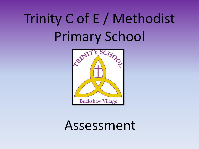# Trinity C of E / Methodist Primary School



# Assessment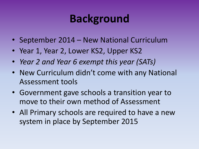### **Background**

- September 2014 New National Curriculum
- Year 1, Year 2, Lower KS2, Upper KS2
- *Year 2 and Year 6 exempt this year (SATs)*
- New Curriculum didn't come with any National Assessment tools
- Government gave schools a transition year to move to their own method of Assessment
- All Primary schools are required to have a new system in place by September 2015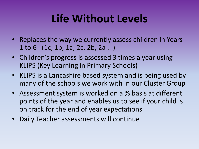#### **Life Without Levels**

- Replaces the way we currently assess children in Years 1 to 6 (1c, 1b, 1a, 2c, 2b, 2a ...)
- Children's progress is assessed 3 times a year using KLIPS (Key Learning in Primary Schools)
- KLIPS is a Lancashire based system and is being used by many of the schools we work with in our Cluster Group
- Assessment system is worked on a % basis at different points of the year and enables us to see if your child is on track for the end of year expectations
- Daily Teacher assessments will continue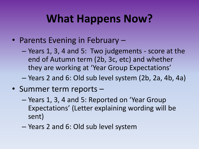#### **What Happens Now?**

- Parents Evening in February
	- Years 1, 3, 4 and 5: Two judgements score at the end of Autumn term (2b, 3c, etc) and whether they are working at 'Year Group Expectations'
	- Years 2 and 6: Old sub level system (2b, 2a, 4b, 4a)
- Summer term reports
	- Years 1, 3, 4 and 5: Reported on 'Year Group Expectations' (Letter explaining wording will be sent)
	- Years 2 and 6: Old sub level system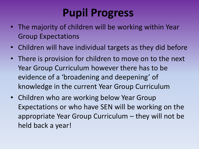# **Pupil Progress**

- The majority of children will be working within Year Group Expectations
- Children will have individual targets as they did before
- There is provision for children to move on to the next Year Group Curriculum however there has to be evidence of a 'broadening and deepening' of knowledge in the current Year Group Curriculum
- Children who are working below Year Group Expectations or who have SEN will be working on the appropriate Year Group Curriculum – they will not be held back a year!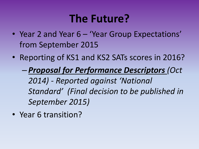#### **The Future?**

- Year 2 and Year 6 'Year Group Expectations' from September 2015
- Reporting of KS1 and KS2 SATs scores in 2016?
	- *Proposal for Performance Descriptors (Oct 2014) - Reported against 'National Standard' (Final decision to be published in September 2015)*
- Year 6 transition?